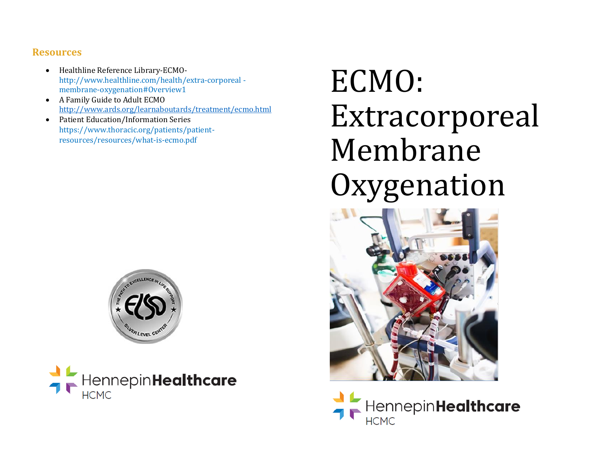#### **Resources**

- Healthline Reference Library-ECMOhttp://www.healthline.com/health/extra-corporeal membrane-oxygenation#Overview1
- A Family Guide to Adult ECMO <http://www.ards.org/learnaboutards/treatment/ecmo.html>
- Patient Education/Information Series https://www.thoracic.org/patients/patientresources/resources/what-is-ecmo.pdf



HennepinHealthcare

# ECMO: Extracorporeal Membrane Oxygenation



HennepinHealthcare **HCMC**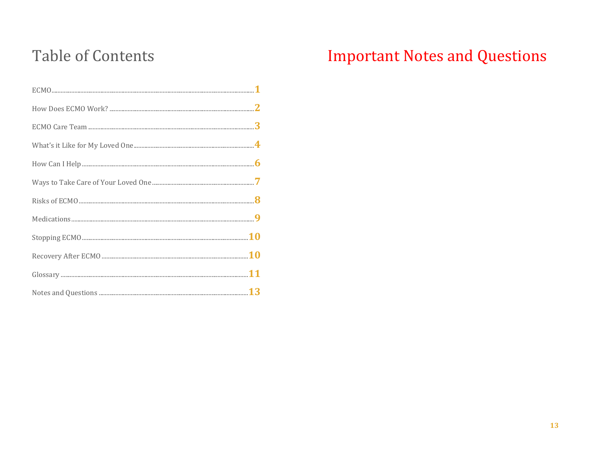## **Table of Contents**

# **Important Notes and Questions**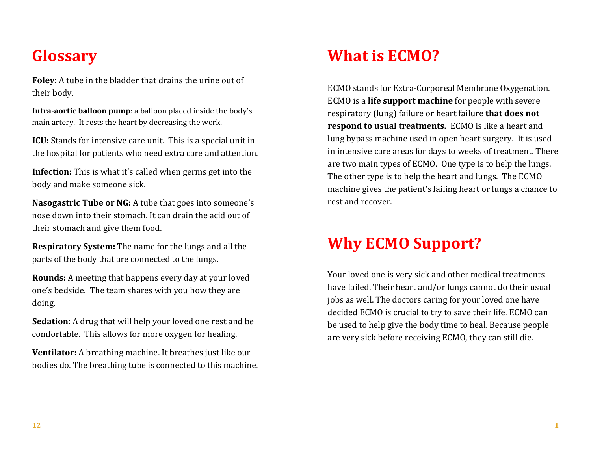#### **Glossary**

**Foley:** A tube in the bladder that drains the urine out of their body.

**Intra-aortic balloon pump**: a balloon placed inside the body's main artery. It rests the heart by decreasing the work.

**ICU:** Stands for intensive care unit. This is a special unit in the hospital for patients who need extra care and attention.

**Infection:** This is what it's called when germs get into the body and make someone sick.

**Nasogastric Tube or NG:** A tube that goes into someone's nose down into their stomach. It can drain the acid out of their stomach and give them food.

**Respiratory System:** The name for the lungs and all the parts of the body that are connected to the lungs.

**Rounds:** A meeting that happens every day at your loved one's bedside. The team shares with you how they are doing.

**Sedation:** A drug that will help your loved one rest and be comfortable. This allows for more oxygen for healing.

**Ventilator:** A breathing machine. It breathes just like our bodies do. The breathing tube is connected to this machine.

# **What is ECMO?**

ECMO stands for Extra-Corporeal Membrane Oxygenation. ECMO is a **life support machine** for people with severe respiratory (lung) failure or heart failure **that does not respond to usual treatments.** ECMO is like a heart and lung bypass machine used in open heart surgery. It is used in intensive care areas for days to weeks of treatment. There are two main types of ECMO. One type is to help the lungs. The other type is to help the heart and lungs. The ECMO machine gives the patient's failing heart or lungs a chance to rest and recover.

## **Why ECMO Support?**

Your loved one is very sick and other medical treatments have failed. Their heart and/or lungs cannot do their usual jobs as well. The doctors caring for your loved one have decided ECMO is crucial to try to save their life. ECMO can be used to help give the body time to heal. Because people are very sick before receiving ECMO, they can still die.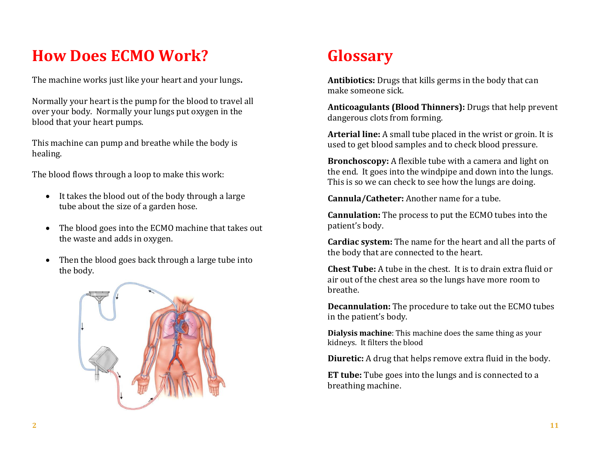# **How Does ECMO Work?**

The machine works just like your heart and your lungs**.** 

Normally your heart is the pump for the blood to travel all over your body. Normally your lungs put oxygen in the blood that your heart pumps.

This machine can pump and breathe while the body is healing.

The blood flows through a loop to make this work:

- It takes the blood out of the body through a large tube about the size of a garden hose.
- The blood goes into the ECMO machine that takes out the waste and adds in oxygen.
- Then the blood goes back through a large tube into the body.



# **Glossary**

**Antibiotics:** Drugs that kills germs in the body that can make someone sick.

**Anticoagulants (Blood Thinners):** Drugs that help prevent dangerous clots from forming.

**Arterial line:** A small tube placed in the wrist or groin. It is used to get blood samples and to check blood pressure.

**Bronchoscopy:** A flexible tube with a camera and light on the end. It goes into the windpipe and down into the lungs. This is so we can check to see how the lungs are doing.

**Cannula/Catheter:** Another name for a tube.

**Cannulation:** The process to put the ECMO tubes into the patient's body.

**Cardiac system:** The name for the heart and all the parts of the body that are connected to the heart.

**Chest Tube:** A tube in the chest. It is to drain extra fluid or air out of the chest area so the lungs have more room to breathe.

**Decannulation:** The procedure to take out the ECMO tubes in the patient's body.

**Dialysis machine**: This machine does the same thing as your kidneys. It filters the blood

**Diuretic:** A drug that helps remove extra fluid in the body.

**ET tube:** Tube goes into the lungs and is connected to a breathing machine.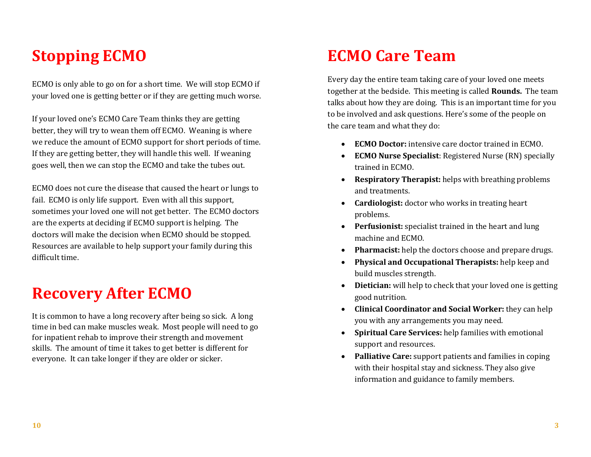#### **Stopping ECMO**

ECMO is only able to go on for a short time. We will stop ECMO if your loved one is getting better or if they are getting much worse.

If your loved one's ECMO Care Team thinks they are getting better, they will try to wean them off ECMO. Weaning is where we reduce the amount of ECMO support for short periods of time. If they are getting better, they will handle this well. If weaning goes well, then we can stop the ECMO and take the tubes out.

ECMO does not cure the disease that caused the heart or lungs to fail. ECMO is only life support. Even with all this support, sometimes your loved one will not get better. The ECMO doctors are the experts at deciding if ECMO support is helping. The doctors will make the decision when ECMO should be stopped. Resources are available to help support your family during this difficult time.

#### **Recovery After ECMO**

It is common to have a long recovery after being so sick. A long time in bed can make muscles weak. Most people will need to go for inpatient rehab to improve their strength and movement skills. The amount of time it takes to get better is different for everyone. It can take longer if they are older or sicker.

#### **ECMO Care Team**

Every day the entire team taking care of your loved one meets together at the bedside. This meeting is called **Rounds.** The team talks about how they are doing. This is an important time for you to be involved and ask questions. Here's some of the people on the care team and what they do:

- **ECMO Doctor:** intensive care doctor trained in ECMO.
- **ECMO Nurse Specialist**: Registered Nurse (RN) specially trained in ECMO.
- **Respiratory Therapist:** helps with breathing problems and treatments.
- **Cardiologist:** doctor who works in treating heart problems.
- **Perfusionist:** specialist trained in the heart and lung machine and ECMO.
- **Pharmacist:** help the doctors choose and prepare drugs.
- **Physical and Occupational Therapists:** help keep and build muscles strength.
- **Dietician:** will help to check that your loved one is getting good nutrition.
- **Clinical Coordinator and Social Worker:** they can help you with any arrangements you may need.
- **Spiritual Care Services:** help families with emotional support and resources.
- **Palliative Care:** support patients and families in coping with their hospital stay and sickness. They also give information and guidance to family members.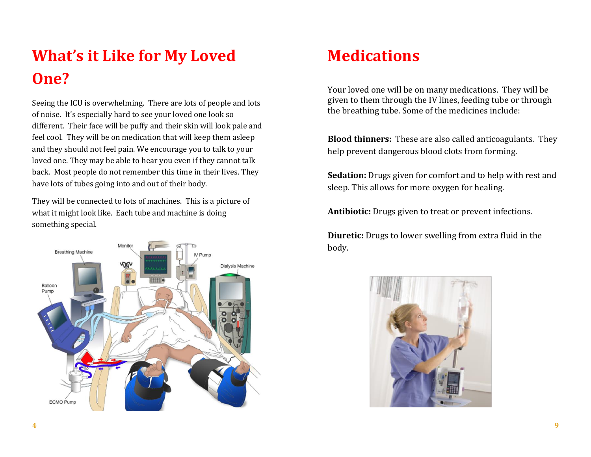# **What's it Like for My Loved One?**

Seeing the ICU is overwhelming. There are lots of people and lots of noise. It's especially hard to see your loved one look so different. Their face will be puffy and their skin will look pale and feel cool. They will be on medication that will keep them asleep and they should not feel pain. We encourage you to talk to your loved one. They may be able to hear you even if they cannot talk back. Most people do not remember this time in their lives. They have lots of tubes going into and out of their body.

They will be connected to lots of machines. This is a picture of what it might look like. Each tube and machine is doing something special.



#### **Medications**

Your loved one will be on many medications. They will be given to them through the IV lines, feeding tube or through the breathing tube. Some of the medicines include:

**Blood thinners:** These are also called anticoagulants. They help prevent dangerous blood clots from forming.

**Sedation:** Drugs given for comfort and to help with rest and sleep. This allows for more oxygen for healing.

**Antibiotic:** Drugs given to treat or prevent infections.

**Diuretic:** Drugs to lower swelling from extra fluid in the body.

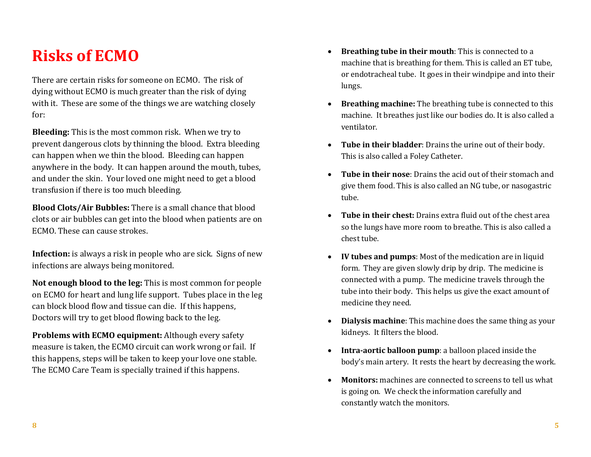#### **Risks of ECMO**

There are certain risks for someone on ECMO. The risk of dying without ECMO is much greater than the risk of dying with it. These are some of the things we are watching closely for:

**Bleeding:** This is the most common risk. When we try to prevent dangerous clots by thinning the blood. Extra bleeding can happen when we thin the blood. Bleeding can happen anywhere in the body. It can happen around the mouth, tubes, and under the skin. Your loved one might need to get a blood transfusion if there is too much bleeding.

**Blood Clots/Air Bubbles:** There is a small chance that blood clots or air bubbles can get into the blood when patients are on ECMO. These can cause strokes.

**Infection:** is always a risk in people who are sick. Signs of new infections are always being monitored.

**Not enough blood to the leg:** This is most common for people on ECMO for heart and lung life support. Tubes place in the leg can block blood flow and tissue can die. If this happens, Doctors will try to get blood flowing back to the leg.

**Problems with ECMO equipment:** Although every safety measure is taken, the ECMO circuit can work wrong or fail. If this happens, steps will be taken to keep your love one stable. The ECMO Care Team is specially trained if this happens.

- **Breathing tube in their mouth**: This is connected to a machine that is breathing for them. This is called an ET tube, or endotracheal tube. It goes in their windpipe and into their lungs.
- **Breathing machine:** The breathing tube is connected to this machine. It breathes just like our bodies do. It is also called a ventilator.
- **Tube in their bladder**: Drains the urine out of their body. This is also called a Foley Catheter.
- **Tube in their nose**: Drains the acid out of their stomach and give them food. This is also called an NG tube, or nasogastric tube.
- **Tube in their chest:** Drains extra fluid out of the chest area so the lungs have more room to breathe. This is also called a chest tube.
- **IV tubes and pumps**: Most of the medication are in liquid form. They are given slowly drip by drip. The medicine is connected with a pump. The medicine travels through the tube into their body. This helps us give the exact amount of medicine they need.
- **Dialysis machine**: This machine does the same thing as your kidneys. It filters the blood.
- **Intra-aortic balloon pump**: a balloon placed inside the body's main artery. It rests the heart by decreasing the work.
- **Monitors:** machines are connected to screens to tell us what is going on. We check the information carefully and constantly watch the monitors.